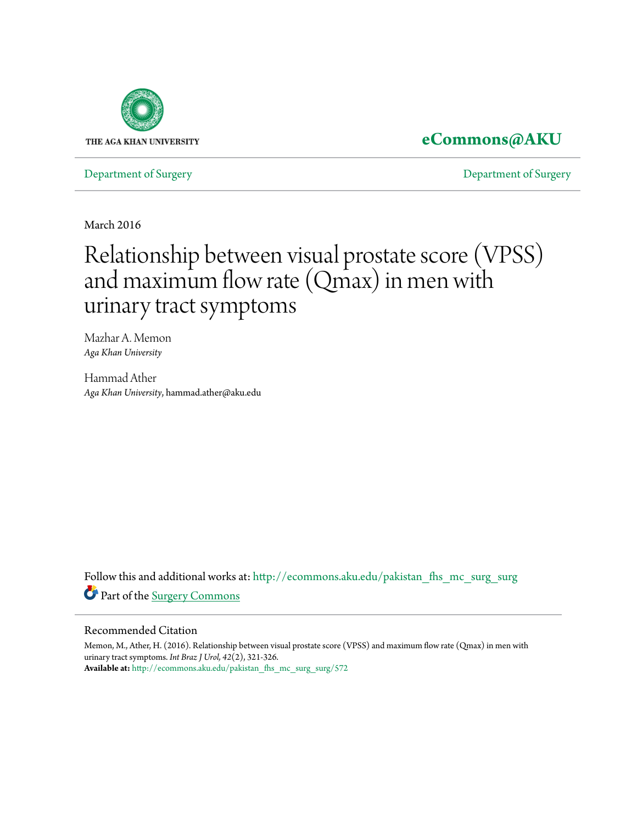

### **[eCommons@AKU](http://ecommons.aku.edu?utm_source=ecommons.aku.edu%2Fpakistan_fhs_mc_surg_surg%2F572&utm_medium=PDF&utm_campaign=PDFCoverPages)**

[Department of Surgery](http://ecommons.aku.edu/pakistan_fhs_mc_surg_surg?utm_source=ecommons.aku.edu%2Fpakistan_fhs_mc_surg_surg%2F572&utm_medium=PDF&utm_campaign=PDFCoverPages) [Department of Surgery](http://ecommons.aku.edu/pakistan_fhs_mc_surg?utm_source=ecommons.aku.edu%2Fpakistan_fhs_mc_surg_surg%2F572&utm_medium=PDF&utm_campaign=PDFCoverPages)

March 2016

# Relationship between visual prostate score (VPSS) and maximum flow rate (Qmax) in men with urinary tract symptoms

Mazhar A. Memon *Aga Khan University*

Hammad Ather *Aga Khan University*, hammad.ather@aku.edu

Follow this and additional works at: [http://ecommons.aku.edu/pakistan\\_fhs\\_mc\\_surg\\_surg](http://ecommons.aku.edu/pakistan_fhs_mc_surg_surg?utm_source=ecommons.aku.edu%2Fpakistan_fhs_mc_surg_surg%2F572&utm_medium=PDF&utm_campaign=PDFCoverPages) Part of the [Surgery Commons](http://network.bepress.com/hgg/discipline/706?utm_source=ecommons.aku.edu%2Fpakistan_fhs_mc_surg_surg%2F572&utm_medium=PDF&utm_campaign=PDFCoverPages)

#### Recommended Citation

Memon, M., Ather, H. (2016). Relationship between visual prostate score (VPSS) and maximum flow rate (Qmax) in men with urinary tract symptoms. *Int Braz J Urol, 42*(2), 321-326. **Available at:** [http://ecommons.aku.edu/pakistan\\_fhs\\_mc\\_surg\\_surg/572](http://ecommons.aku.edu/pakistan_fhs_mc_surg_surg/572)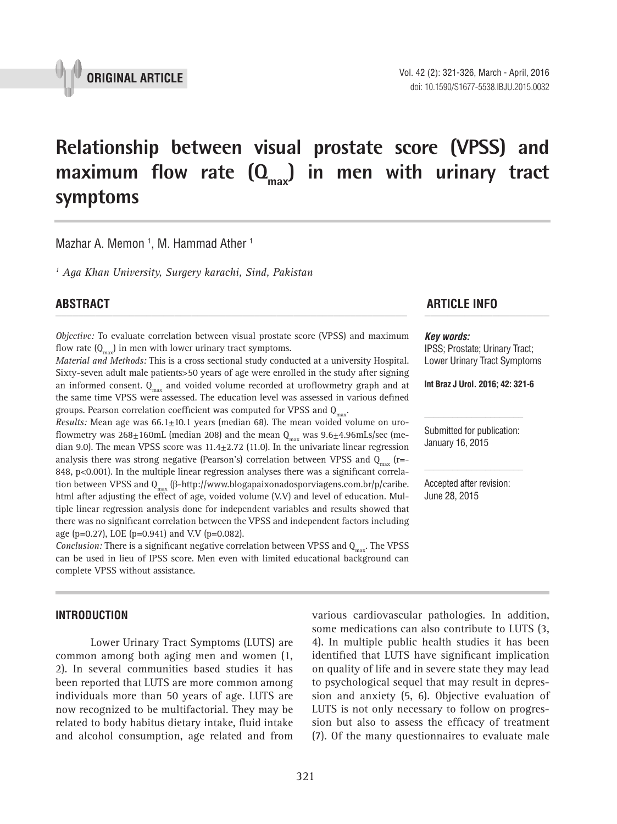

## **Relationship between visual prostate score (VPSS) and**  maximum flow rate  $(Q_{max})$  in men with urinary tract **symptoms \_\_\_\_\_\_\_\_\_\_\_\_\_\_\_\_\_\_\_\_\_\_\_\_\_\_\_\_\_\_\_\_\_\_\_\_\_\_\_\_\_\_\_\_\_\_\_**

Mazhar A. Memon <sup>1</sup>, M. Hammad Ather <sup>1</sup>

*1 Aga Khan University, Surgery karachi, Sind, Pakistan*

*Objective:* To evaluate correlation between visual prostate score (VPSS) and maximum flow rate  $(Q_{\text{max}})$  in men with lower urinary tract symptoms.

*Material and Methods:* This is a cross sectional study conducted at a university Hospital. Sixty-seven adult male patients>50 years of age were enrolled in the study after signing an informed consent.  $Q_{\text{max}}$  and voided volume recorded at uroflowmetry graph and at the same time VPSS were assessed. The education level was assessed in various defined groups. Pearson correlation coefficient was computed for VPSS and  $Q_{\text{max}}$ .

*Results:* Mean age was 66.1±10.1 years (median 68). The mean voided volume on uroflowmetry was  $268\pm160$ mL (median 208) and the mean  $Q_{\text{max}}$  was  $9.6\pm4.96$ mLs/sec (median 9.0). The mean VPSS score was  $11.4 \pm 2.72$  (11.0). In the univariate linear regression analysis there was strong negative (Pearson's) correlation between VPSS and  $Q_{\text{max}}$  (r=-848, p<0.001). In the multiple linear regression analyses there was a significant correlation between VPSS and  $Q_{max}$  (β-http://www.blogapaixonadosporviagens.com.br/p/caribe. html after adjusting the effect of age, voided volume (V.V) and level of education. Multiple linear regression analysis done for independent variables and results showed that there was no significant correlation between the VPSS and independent factors including age (p=0.27), LOE (p=0.941) and V.V (p=0.082).

*Conclusion:* There is a significant negative correlation between VPSS and Q<sub>max</sub>. The VPSS can be used in lieu of IPSS score. Men even with limited educational background can complete VPSS without assistance.

#### **INTRODUCTION**

Lower Urinary Tract Symptoms (LUTS) are common among both aging men and women (1, 2). In several communities based studies it has been reported that LUTS are more common among individuals more than 50 years of age. LUTS are now recognized to be multifactorial. They may be related to body habitus dietary intake, fluid intake and alcohol consumption, age related and from

### **ABSTRACT ARTICLE INFO** *\_\_\_\_\_\_\_\_\_\_\_\_\_\_\_\_\_\_\_\_\_\_\_\_\_\_\_\_\_\_\_\_\_\_\_\_\_\_\_\_\_\_\_\_\_\_\_\_\_\_\_\_\_\_\_\_\_\_\_\_\_\_ \_\_\_\_\_\_\_\_\_\_\_\_\_\_\_\_\_\_\_\_\_\_*

#### *Key words:*

IPSS; Prostate; Urinary Tract; Lower Urinary Tract Symptoms

**Int Braz J Urol. 2016; 42: 321-6**

Submitted for publication: January 16, 2015

Accepted after revision: June 28, 2015

various cardiovascular pathologies. In addition, some medications can also contribute to LUTS (3, 4). In multiple public health studies it has been identified that LUTS have significant implication on quality of life and in severe state they may lead to psychological sequel that may result in depression and anxiety (5, 6). Objective evaluation of LUTS is not only necessary to follow on progression but also to assess the efficacy of treatment (7). Of the many questionnaires to evaluate male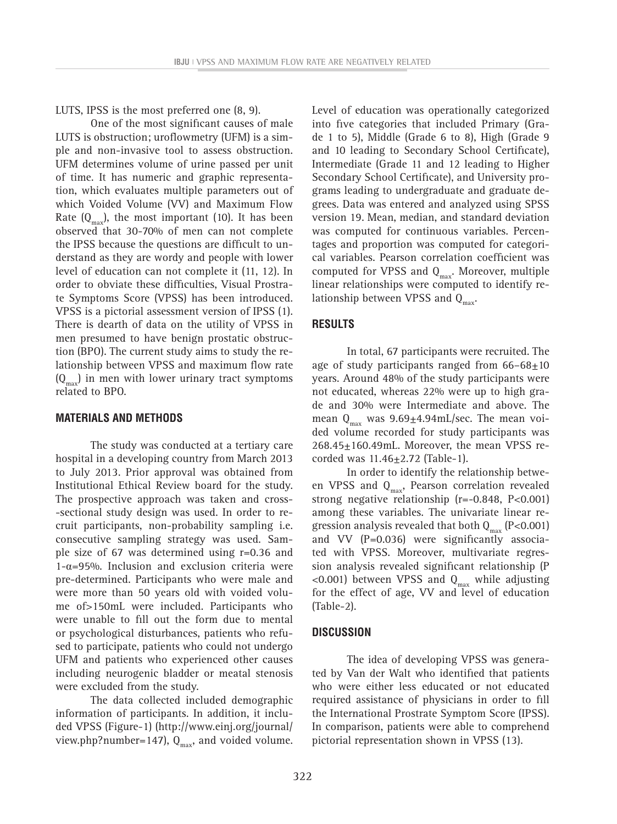LUTS, IPSS is the most preferred one (8, 9).

One of the most significant causes of male LUTS is obstruction; uroflowmetry (UFM) is a simple and non-invasive tool to assess obstruction. UFM determines volume of urine passed per unit of time. It has numeric and graphic representation, which evaluates multiple parameters out of which Voided Volume (VV) and Maximum Flow Rate  $(Q_{\text{max}})$ , the most important (10). It has been observed that 30-70% of men can not complete the IPSS because the questions are difficult to understand as they are wordy and people with lower level of education can not complete it (11, 12). In order to obviate these difficulties, Visual Prostrate Symptoms Score (VPSS) has been introduced. VPSS is a pictorial assessment version of IPSS (1). There is dearth of data on the utility of VPSS in men presumed to have benign prostatic obstruction (BPO). The current study aims to study the relationship between VPSS and maximum flow rate  $(Q<sub>max</sub>)$  in men with lower urinary tract symptoms related to BPO.

#### **MATERIALS AND METHODS**

The study was conducted at a tertiary care hospital in a developing country from March 2013 to July 2013. Prior approval was obtained from Institutional Ethical Review board for the study. The prospective approach was taken and cross- -sectional study design was used. In order to recruit participants, non-probability sampling i.e. consecutive sampling strategy was used. Sample size of 67 was determined using r=0.36 and 1-α=95%. Inclusion and exclusion criteria were pre-determined. Participants who were male and were more than 50 years old with voided volume of>150mL were included. Participants who were unable to fill out the form due to mental or psychological disturbances, patients who refused to participate, patients who could not undergo UFM and patients who experienced other causes including neurogenic bladder or meatal stenosis were excluded from the study.

The data collected included demographic information of participants. In addition, it included VPSS (Figure-1) (http://www.einj.org/journal/ view.php?number=147),  $Q_{max}$ , and voided volume.

Level of education was operationally categorized into five categories that included Primary (Grade 1 to 5), Middle (Grade 6 to 8), High (Grade 9 and 10 leading to Secondary School Certificate), Intermediate (Grade 11 and 12 leading to Higher Secondary School Certificate), and University programs leading to undergraduate and graduate degrees. Data was entered and analyzed using SPSS version 19. Mean, median, and standard deviation was computed for continuous variables. Percentages and proportion was computed for categorical variables. Pearson correlation coefficient was computed for VPSS and  $Q_{\text{max}}$ . Moreover, multiple linear relationships were computed to identify relationship between VPSS and  $Q_{\text{max}}$ .

#### **RESULTS**

In total, 67 participants were recruited. The age of study participants ranged from 66–68±10 years. Around 48% of the study participants were not educated, whereas 22% were up to high grade and 30% were Intermediate and above. The mean  $Q_{\text{max}}$  was 9.69 $\pm$ 4.94mL/sec. The mean voided volume recorded for study participants was  $268.45 \pm 160.49$ mL. Moreover, the mean VPSS recorded was  $11.46 \pm 2.72$  (Table-1).

In order to identify the relationship between VPSS and  $Q_{\text{max}}$ , Pearson correlation revealed strong negative relationship (r=-0.848, P<0.001) among these variables. The univariate linear regression analysis revealed that both  $Q_{max}$  (P<0.001) and VV (P=0.036) were significantly associated with VPSS. Moreover, multivariate regression analysis revealed significant relationship (P <0.001) between VPSS and  $Q_{max}$  while adjusting for the effect of age, VV and level of education (Table-2).

#### **DISCUSSION**

The idea of developing VPSS was generated by Van der Walt who identified that patients who were either less educated or not educated required assistance of physicians in order to fill the International Prostrate Symptom Score (IPSS). In comparison, patients were able to comprehend pictorial representation shown in VPSS (13).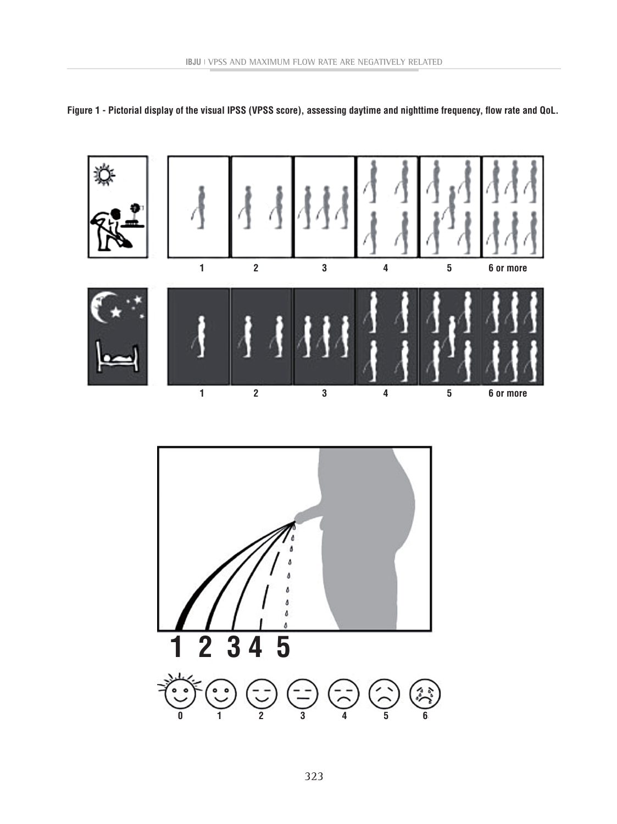

**Figure 1 - Pictorial display of the visual IPSS (VPSS score), assessing daytime and nighttime frequency, flow rate and QoL.**

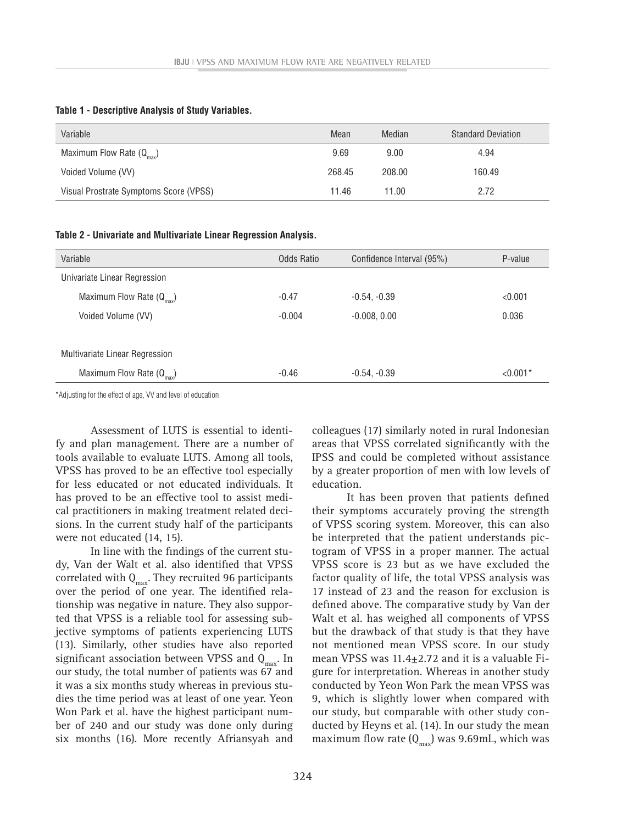| Variable                               | Mean   | Median | <b>Standard Deviation</b> |
|----------------------------------------|--------|--------|---------------------------|
| Maximum Flow Rate $(Q_{max})$          | 9.69   | 9.00   | 4.94                      |
| Voided Volume (VV)                     | 268.45 | 208.00 | 160.49                    |
| Visual Prostrate Symptoms Score (VPSS) | 11.46  | 11.00  | 2.72                      |

#### **Table 1 - Descriptive Analysis of Study Variables.**

#### **Table 2 - Univariate and Multivariate Linear Regression Analysis.**

| Variable                             | Odds Ratio | Confidence Interval (95%) | P-value    |
|--------------------------------------|------------|---------------------------|------------|
| Univariate Linear Regression         |            |                           |            |
| Maximum Flow Rate $(Q_{\text{max}})$ | $-0.47$    | $-0.54, -0.39$            | < 0.001    |
| Voided Volume (VV)                   | $-0.004$   | $-0.008, 0.00$            | 0.036      |
|                                      |            |                           |            |
| Multivariate Linear Regression       |            |                           |            |
| Maximum Flow Rate $(Q_{max})$        | $-0.46$    | $-0.54, -0.39$            | $< 0.001*$ |

\*Adjusting for the effect of age, VV and level of education

Assessment of LUTS is essential to identify and plan management. There are a number of tools available to evaluate LUTS. Among all tools, VPSS has proved to be an effective tool especially for less educated or not educated individuals. It has proved to be an effective tool to assist medical practitioners in making treatment related decisions. In the current study half of the participants were not educated (14, 15).

In line with the findings of the current study, Van der Walt et al. also identified that VPSS correlated with  $Q_{\text{max}}$ . They recruited 96 participants over the period of one year. The identified relationship was negative in nature. They also supported that VPSS is a reliable tool for assessing subjective symptoms of patients experiencing LUTS (13). Similarly, other studies have also reported significant association between VPSS and  $Q_{\text{max}}$ . In our study, the total number of patients was 67 and it was a six months study whereas in previous studies the time period was at least of one year. Yeon Won Park et al. have the highest participant number of 240 and our study was done only during six months (16). More recently Afriansyah and

colleagues (17) similarly noted in rural Indonesian areas that VPSS correlated significantly with the IPSS and could be completed without assistance by a greater proportion of men with low levels of education.

It has been proven that patients defined their symptoms accurately proving the strength of VPSS scoring system. Moreover, this can also be interpreted that the patient understands pictogram of VPSS in a proper manner. The actual VPSS score is 23 but as we have excluded the factor quality of life, the total VPSS analysis was 17 instead of 23 and the reason for exclusion is defined above. The comparative study by Van der Walt et al. has weighed all components of VPSS but the drawback of that study is that they have not mentioned mean VPSS score. In our study mean VPSS was  $11.4 \pm 2.72$  and it is a valuable Figure for interpretation. Whereas in another study conducted by Yeon Won Park the mean VPSS was 9, which is slightly lower when compared with our study, but comparable with other study conducted by Heyns et al. (14). In our study the mean maximum flow rate  $(Q_{\text{max}})$  was 9.69mL, which was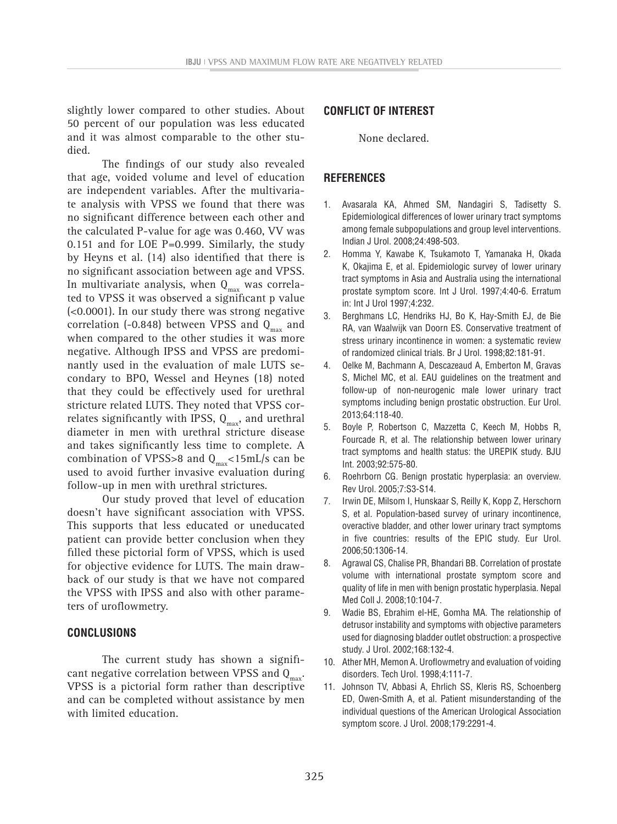slightly lower compared to other studies. About 50 percent of our population was less educated and it was almost comparable to the other studied.

The findings of our study also revealed that age, voided volume and level of education are independent variables. After the multivariate analysis with VPSS we found that there was no significant difference between each other and the calculated P-value for age was 0.460, VV was 0.151 and for LOE P=0.999. Similarly, the study by Heyns et al. (14) also identified that there is no significant association between age and VPSS. In multivariate analysis, when  $Q_{\text{max}}$  was correlated to VPSS it was observed a significant p value (<0.0001). In our study there was strong negative correlation (-0.848) between VPSS and  $Q_{max}$  and when compared to the other studies it was more negative. Although IPSS and VPSS are predominantly used in the evaluation of male LUTS secondary to BPO, Wessel and Heynes (18) noted that they could be effectively used for urethral stricture related LUTS. They noted that VPSS correlates significantly with IPSS,  $Q_{max}$ , and urethral diameter in men with urethral stricture disease and takes significantly less time to complete. A combination of VPSS>8 and  $Q_{\text{max}}$ <15mL/s can be used to avoid further invasive evaluation during follow-up in men with urethral strictures.

Our study proved that level of education doesn't have significant association with VPSS. This supports that less educated or uneducated patient can provide better conclusion when they filled these pictorial form of VPSS, which is used for objective evidence for LUTS. The main drawback of our study is that we have not compared the VPSS with IPSS and also with other parameters of uroflowmetry.

#### **CONCLUSIONS**

The current study has shown a significant negative correlation between VPSS and  $Q_{max}$ . VPSS is a pictorial form rather than descriptive and can be completed without assistance by men with limited education.

### **CONFLICT OF INTEREST**

None declared.

#### **REFERENCES**

- 1. Avasarala KA, Ahmed SM, Nandagiri S, Tadisetty S. Epidemiological differences of lower urinary tract symptoms among female subpopulations and group level interventions. Indian J Urol. 2008;24:498-503.
- 2. Homma Y, Kawabe K, Tsukamoto T, Yamanaka H, Okada K, Okajima E, et al. Epidemiologic survey of lower urinary tract symptoms in Asia and Australia using the international prostate symptom score. Int J Urol. 1997;4:40-6. Erratum in: Int J Urol 1997;4:232.
- 3. Berghmans LC, Hendriks HJ, Bo K, Hay-Smith EJ, de Bie RA, van Waalwijk van Doorn ES. Conservative treatment of stress urinary incontinence in women: a systematic review of randomized clinical trials. Br J Urol. 1998;82:181-91.
- 4. Oelke M, Bachmann A, Descazeaud A, Emberton M, Gravas S, Michel MC, et al. EAU guidelines on the treatment and follow-up of non-neurogenic male lower urinary tract symptoms including benign prostatic obstruction. Eur Urol. 2013;64:118-40.
- 5. Boyle P, Robertson C, Mazzetta C, Keech M, Hobbs R, Fourcade R, et al. The relationship between lower urinary tract symptoms and health status: the UREPIK study. BJU Int. 2003;92:575-80.
- 6. Roehrborn CG. Benign prostatic hyperplasia: an overview. Rev Urol. 2005;7:S3-S14.
- 7. Irwin DE, Milsom I, Hunskaar S, Reilly K, Kopp Z, Herschorn S, et al. Population-based survey of urinary incontinence, overactive bladder, and other lower urinary tract symptoms in five countries: results of the EPIC study. Eur Urol. 2006;50:1306-14.
- 8. Agrawal CS, Chalise PR, Bhandari BB. Correlation of prostate volume with international prostate symptom score and quality of life in men with benign prostatic hyperplasia. Nepal Med Coll J. 2008;10:104-7.
- 9. Wadie BS, Ebrahim el-HE, Gomha MA. The relationship of detrusor instability and symptoms with objective parameters used for diagnosing bladder outlet obstruction: a prospective study. J Urol. 2002;168:132-4.
- 10. Ather MH, Memon A. Uroflowmetry and evaluation of voiding disorders. Tech Urol. 1998;4:111-7.
- 11. Johnson TV, Abbasi A, Ehrlich SS, Kleris RS, Schoenberg ED, Owen-Smith A, et al. Patient misunderstanding of the individual questions of the American Urological Association symptom score. J Urol. 2008;179:2291-4.